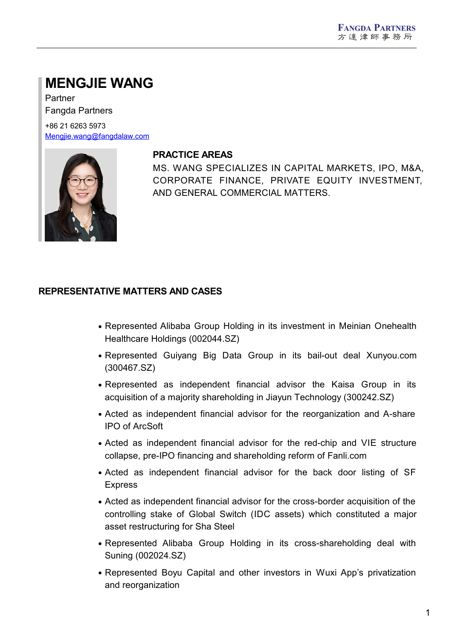# **MENGJIE WANG**

Partner Fangda Partners

+86 21 6263 5973 [Mengjie.wang@fangdalaw.com](mailto:Mengjie.wang@fangdalaw.com)



#### **PRACTICE AREAS**

MS. WANG SPECIALIZES IN CAPITAL MARKETS, IPO, M&A, CORPORATE FINANCE, PRIVATE EQUITY INVESTMENT, AND GENERAL COMMERCIAL MATTERS.

### **REPRESENTATIVE MATTERS AND CASES**

- Represented Alibaba Group Holding in its investment in Meinian Onehealth Healthcare Holdings (002044.SZ)
- Represented Guiyang Big Data Group in its bail-out deal Xunyou.com (300467.SZ)
- Represented as independent financial advisor the Kaisa Group in its acquisition of a majority shareholding in Jiayun Technology (300242.SZ)
- Acted as independent financial advisor for the reorganization and A-share IPO of ArcSoft
- Acted as independent financial advisor for the red-chip and VIE structure collapse, pre-IPO financing and shareholding reform of Fanli.com
- Acted as independent financial advisor for the back door listing of SF Express
- Acted as independent financial advisor for the cross-border acquisition of the controlling stake of Global Switch (IDC assets) which constituted a major asset restructuring for Sha Steel
- Represented Alibaba Group Holding in its cross-shareholding deal with Suning (002024.SZ)
- Represented Boyu Capital and other investors in Wuxi App's privatization and reorganization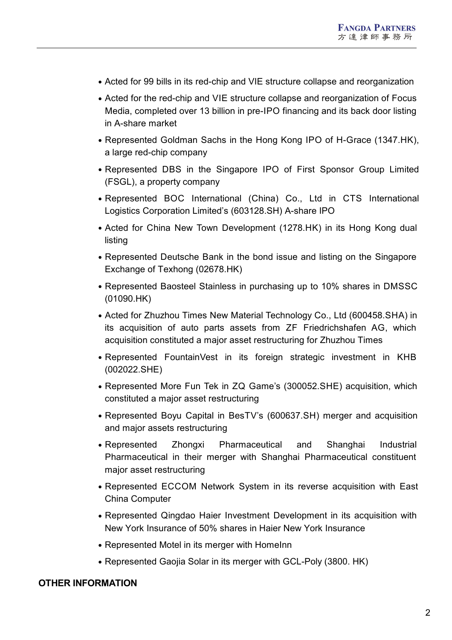- Acted for 99 bills in its red-chip and VIE structure collapse and reorganization
- Acted for the red-chip and VIE structure collapse and reorganization of Focus Media, completed over 13 billion in pre-IPO financing and its back door listing in A-share market
- Represented Goldman Sachs in the Hong Kong IPO of H-Grace (1347.HK), a large red-chip company
- Represented DBS in the Singapore IPO of First Sponsor Group Limited (FSGL), a property company
- Represented BOC International (China) Co., Ltd in CTS International Logistics Corporation Limited's (603128.SH) A-share IPO
- Acted for China New Town Development (1278.HK) in its Hong Kong dual listing
- Represented Deutsche Bank in the bond issue and listing on the Singapore Exchange of Texhong (02678.HK)
- Represented Baosteel Stainless in purchasing up to 10% shares in DMSSC (01090.HK)
- Acted for Zhuzhou Times New Material Technology Co., Ltd (600458.SHA) in its acquisition of auto parts assets from ZF Friedrichshafen AG, which acquisition constituted a major asset restructuring for Zhuzhou Times
- Represented FountainVest in its foreign strategic investment in KHB (002022.SHE)
- Represented More Fun Tek in ZQ Game's (300052.SHE) acquisition, which constituted a major asset restructuring
- Represented Boyu Capital in BesTV's (600637.SH) merger and acquisition and major assets restructuring
- Represented Zhongxi Pharmaceutical and Shanghai Industrial Pharmaceutical in their merger with Shanghai Pharmaceutical constituent major asset restructuring
- Represented ECCOM Network System in its reverse acquisition with East China Computer
- Represented Qingdao Haier Investment Development in its acquisition with New York Insurance of 50% shares in Haier New York Insurance
- Represented Motel in its merger with HomeInn
- Represented Gaojia Solar in its merger with GCL-Poly (3800. HK)

### **OTHER INFORMATION**